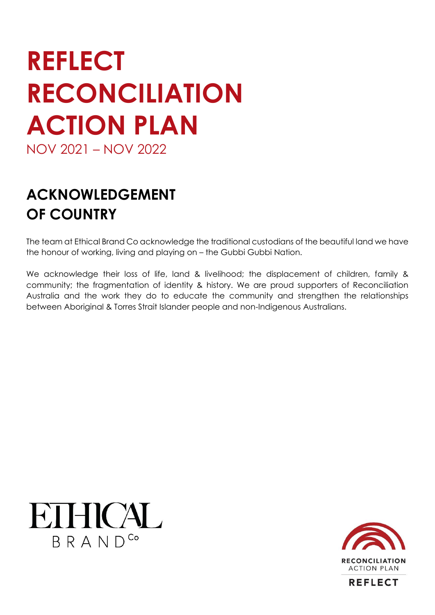# **REFLECT RECONCILIATION ACTION PLAN** NOV 2021 – NOV 2022

**ACKNOWLEDGEMENT OF COUNTRY**

The team at Ethical Brand Co acknowledge the traditional custodians of the beautiful land we have the honour of working, living and playing on – the Gubbi Gubbi Nation.

We acknowledge their loss of life, land & livelihood; the displacement of children, family & community; the fragmentation of identity & history. We are proud supporters of Reconciliation Australia and the work they do to educate the community and strengthen the relationships between Aboriginal & Torres Strait Islander people and non-Indigenous Australians.





**REFLECT**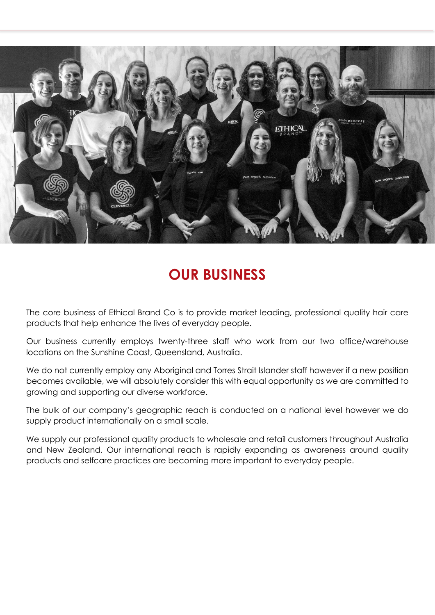

#### **OUR BUSINESS**

The core business of Ethical Brand Co is to provide market leading, professional quality hair care products that help enhance the lives of everyday people.

Our business currently employs twenty-three staff who work from our two office/warehouse locations on the Sunshine Coast, Queensland, Australia.

We do not currently employ any Aboriginal and Torres Strait Islander staff however if a new position becomes available, we will absolutely consider this with equal opportunity as we are committed to growing and supporting our diverse workforce.

The bulk of our company's geographic reach is conducted on a national level however we do supply product internationally on a small scale.

We supply our professional quality products to wholesale and retail customers throughout Australia and New Zealand. Our international reach is rapidly expanding as awareness around quality products and selfcare practices are becoming more important to everyday people.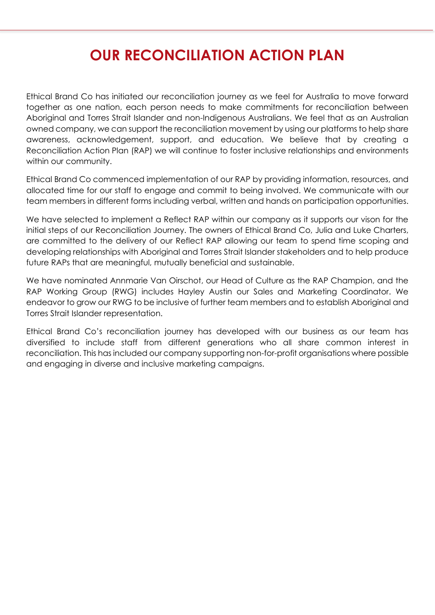# **OUR RECONCILIATION ACTION PLAN**

Ethical Brand Co has initiated our reconciliation journey as we feel for Australia to move forward together as one nation, each person needs to make commitments for reconciliation between Aboriginal and Torres Strait Islander and non-Indigenous Australians. We feel that as an Australian owned company, we can support the reconciliation movement by using our platforms to help share awareness, acknowledgement, support, and education. We believe that by creating a Reconciliation Action Plan (RAP) we will continue to foster inclusive relationships and environments within our community.

Ethical Brand Co commenced implementation of our RAP by providing information, resources, and allocated time for our staff to engage and commit to being involved. We communicate with our team members in different forms including verbal, written and hands on participation opportunities.

We have selected to implement a Reflect RAP within our company as it supports our vison for the initial steps of our Reconciliation Journey. The owners of Ethical Brand Co, Julia and Luke Charters, are committed to the delivery of our Reflect RAP allowing our team to spend time scoping and developing relationships with Aboriginal and Torres Strait Islander stakeholders and to help produce future RAPs that are meaningful, mutually beneficial and sustainable.

We have nominated Annmarie Van Oirschot, our Head of Culture as the RAP Champion, and the RAP Working Group (RWG) includes Hayley Austin our Sales and Marketing Coordinator. We endeavor to grow our RWG to be inclusive of further team members and to establish Aboriginal and Torres Strait Islander representation.

Ethical Brand Co's reconciliation journey has developed with our business as our team has diversified to include staff from different generations who all share common interest in reconciliation. This has included our company supporting non-for-profit organisations where possible and engaging in diverse and inclusive marketing campaigns.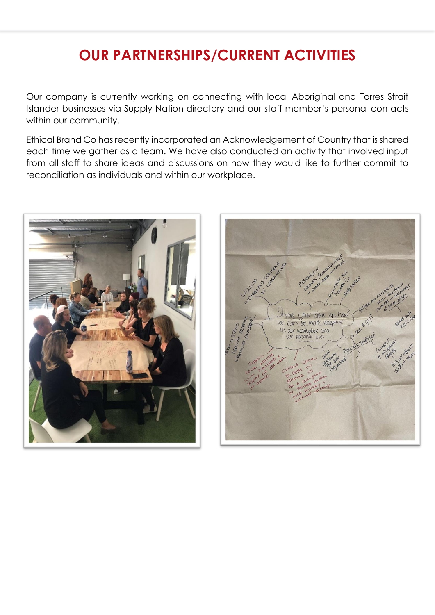## **OUR PARTNERSHIPS/CURRENT ACTIVITIES**

Our company is currently working on connecting with local Aboriginal and Torres Strait Islander businesses via Supply Nation directory and our staff member's personal contacts within our community.

Ethical Brand Co has recently incorporated an Acknowledgement of Country that is shared each time we gather as a team. We have also conducted an activity that involved input from all staff to share ideas and discussions on how they would like to further commit to reconciliation as individuals and within our workplace.



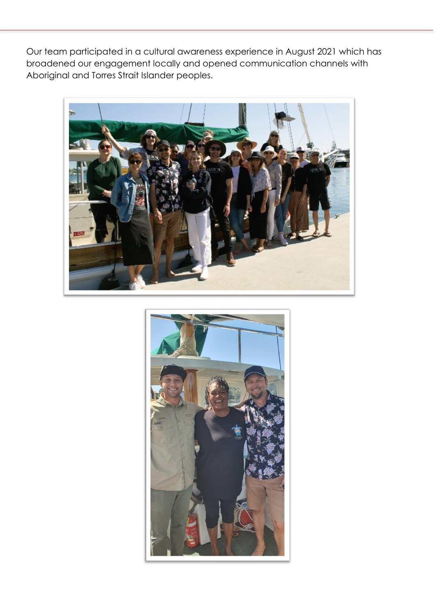Our team participated in a cultural awareness experience in August 2021 which has broadened our engagement locally and opened communication channels with Aboriginal and Torres Strait Islander peoples.



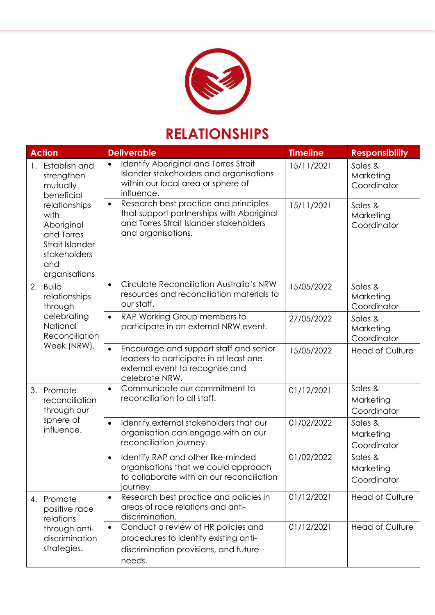

### **RELATIONSHIPS**

| <b>Action</b>                                                                                                | <b>Deliverable</b>                                                                                                                                  | <b>Timeline</b> | <b>Responsibility</b>               |
|--------------------------------------------------------------------------------------------------------------|-----------------------------------------------------------------------------------------------------------------------------------------------------|-----------------|-------------------------------------|
| Establish and<br>1.<br>strengthen<br>mutually<br>beneficial                                                  | Identify Aboriginal and Torres Strait<br>$\bullet$<br>Islander stakeholders and organisations<br>within our local area or sphere of<br>influence.   | 15/11/2021      | Sales &<br>Marketing<br>Coordinator |
| relationships<br>with<br>Aboriginal<br>and Torres<br>Strait Islander<br>stakeholders<br>and<br>organisations | Research best practice and principles<br>that support partnerships with Aboriginal<br>and Torres Strait Islander stakeholders<br>and organisations. | 15/11/2021      | Sales &<br>Marketing<br>Coordinator |
| 2.<br><b>Build</b><br>relationships<br>through                                                               | Circulate Reconciliation Australia's NRW<br>$\bullet$<br>resources and reconciliation materials to<br>our staff.                                    | 15/05/2022      | Sales &<br>Marketing<br>Coordinator |
| celebrating<br>National<br>Reconciliation                                                                    | RAP Working Group members to<br>$\bullet$<br>participate in an external NRW event.                                                                  | 27/05/2022      | Sales &<br>Marketing<br>Coordinator |
| Week (NRW).                                                                                                  | Encourage and support staff and senior<br>$\bullet$<br>leaders to participate in at least one<br>external event to recognise and<br>celebrate NRW.  | 15/05/2022      | <b>Head of Culture</b>              |
| 3.<br>Promote<br>reconciliation<br>through our                                                               | Communicate our commitment to<br>$\bullet$<br>reconciliation to all staff.                                                                          | 01/12/2021      | Sales &<br>Marketing<br>Coordinator |
| sphere of<br>influence.                                                                                      | Identify external stakeholders that our<br>$\bullet$<br>organisation can engage with on our<br>reconciliation journey.                              | 01/02/2022      | Sales &<br>Marketing<br>Coordinator |
|                                                                                                              | Identify RAP and other like-minded<br>organisations that we could approach<br>to collaborate with on our reconciliation<br>journey.                 | 01/02/2022      | Sales &<br>Marketing<br>Coordinator |
| Promote<br>4.<br>positive race<br>relations                                                                  | Research best practice and policies in<br>$\bullet$<br>areas of race relations and anti-<br>discrimination.                                         | 01/12/2021      | <b>Head of Culture</b>              |
| through anti-<br>discrimination<br>strategies.                                                               | Conduct a review of HR policies and<br>procedures to identify existing anti-<br>discrimination provisions, and future<br>needs.                     | 01/12/2021      | <b>Head of Culture</b>              |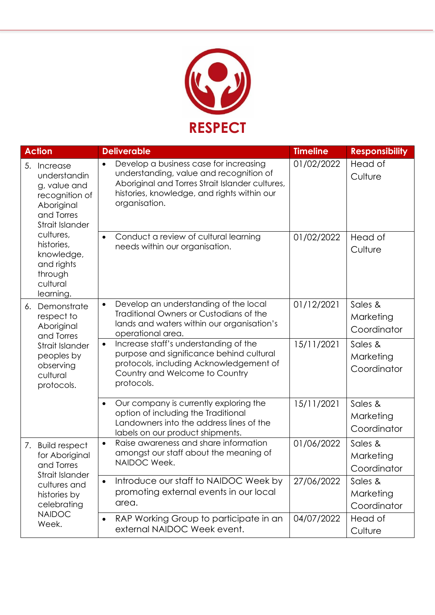

|                                                                                                                                                                                                            | <b>Action</b>                                                                                                                                                                                                     | <b>Deliverable</b>                                                                                                                                                                        | <b>Timeline</b>    | <b>Responsibility</b>               |
|------------------------------------------------------------------------------------------------------------------------------------------------------------------------------------------------------------|-------------------------------------------------------------------------------------------------------------------------------------------------------------------------------------------------------------------|-------------------------------------------------------------------------------------------------------------------------------------------------------------------------------------------|--------------------|-------------------------------------|
| 5.<br>Increase<br>understandin<br>g, value and<br>recognition of<br>Aboriginal<br>and Torres<br>Strait Islander<br>cultures,<br>histories,<br>knowledge,<br>and rights<br>through<br>cultural<br>learning. | Develop a business case for increasing<br>$\bullet$<br>understanding, value and recognition of<br>Aboriginal and Torres Strait Islander cultures,<br>histories, knowledge, and rights within our<br>organisation. | 01/02/2022                                                                                                                                                                                | Head of<br>Culture |                                     |
|                                                                                                                                                                                                            | Conduct a review of cultural learning<br>$\bullet$<br>needs within our organisation.                                                                                                                              | 01/02/2022                                                                                                                                                                                | Head of<br>Culture |                                     |
| 6.                                                                                                                                                                                                         | Demonstrate<br>respect to<br>Aboriginal<br>and Torres                                                                                                                                                             | Develop an understanding of the local<br>$\bullet$<br>Traditional Owners or Custodians of the<br>lands and waters within our organisation's<br>operational area.                          | 01/12/2021         | Sales &<br>Marketing<br>Coordinator |
|                                                                                                                                                                                                            | <b>Strait Islander</b><br>peoples by<br>observing<br>cultural<br>protocols.                                                                                                                                       | Increase staff's understanding of the<br>$\bullet$<br>purpose and significance behind cultural<br>protocols, including Acknowledgement of<br>Country and Welcome to Country<br>protocols. | 15/11/2021         | Sales &<br>Marketing<br>Coordinator |
|                                                                                                                                                                                                            |                                                                                                                                                                                                                   | Our company is currently exploring the<br>$\bullet$<br>option of including the Traditional<br>Landowners into the address lines of the<br>labels on our product shipments.                | 15/11/2021         | Sales &<br>Marketing<br>Coordinator |
| 7.                                                                                                                                                                                                         | <b>Build respect</b><br>for Aboriginal<br>and Torres<br><b>Strait Islander</b><br>cultures and<br>histories by<br>celebrating<br><b>NAIDOC</b><br>Week.                                                           | Raise awareness and share information<br>$\bullet$<br>amongst our staff about the meaning of<br>NAIDOC Week.                                                                              | 01/06/2022         | Sales &<br>Marketing<br>Coordinator |
|                                                                                                                                                                                                            |                                                                                                                                                                                                                   | Introduce our staff to NAIDOC Week by<br>$\bullet$<br>promoting external events in our local<br>area.                                                                                     | 27/06/2022         | Sales &<br>Marketing<br>Coordinator |
|                                                                                                                                                                                                            |                                                                                                                                                                                                                   | RAP Working Group to participate in an<br>$\bullet$<br>external NAIDOC Week event.                                                                                                        | 04/07/2022         | Head of<br>Culture                  |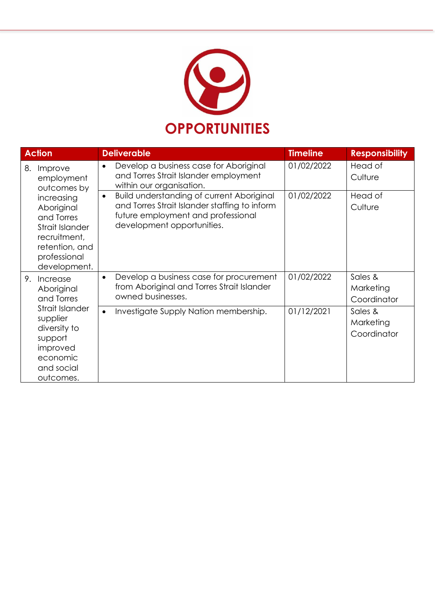

| <b>Action</b>                                                                                                               | <b>Deliverable</b>                                                                                                                                                                 | <b>Timeline</b> | <b>Responsibility</b>               |
|-----------------------------------------------------------------------------------------------------------------------------|------------------------------------------------------------------------------------------------------------------------------------------------------------------------------------|-----------------|-------------------------------------|
| Improve<br>8.<br>employment<br>outcomes by                                                                                  | Develop a business case for Aboriginal<br>$\bullet$<br>and Torres Strait Islander employment<br>within our organisation.                                                           | 01/02/2022      | Head of<br>Culture                  |
| increasing<br>Aboriginal<br>and Torres<br>Strait Islander<br>recruitment,<br>retention, and<br>professional<br>development. | <b>Build understanding of current Aboriginal</b><br>$\bullet$<br>and Torres Strait Islander staffing to inform<br>future employment and professional<br>development opportunities. | 01/02/2022      | Head of<br>Culture                  |
| 9.<br>Increase<br>Aboriginal<br>and Torres                                                                                  | Develop a business case for procurement<br>$\bullet$<br>from Aboriginal and Torres Strait Islander<br>owned businesses.                                                            | 01/02/2022      | Sales &<br>Marketing<br>Coordinator |
| Strait Islander<br>supplier<br>diversity to<br>support<br>improved<br>economic<br>and social<br>outcomes.                   | Investigate Supply Nation membership.<br>$\bullet$                                                                                                                                 | 01/12/2021      | Sales &<br>Marketing<br>Coordinator |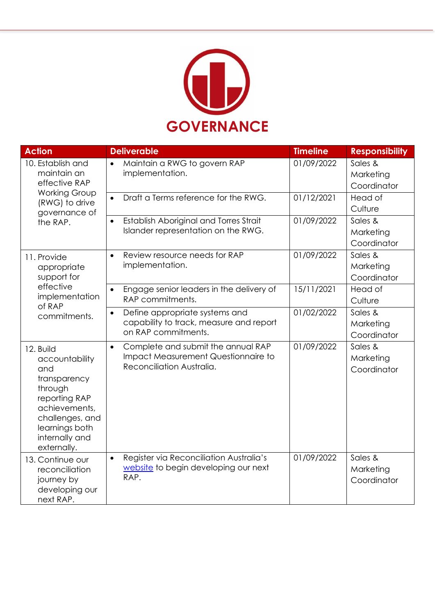

| <b>Action</b>                                                                                                                                                         | <b>Deliverable</b>                                                                                                  | <b>Timeline</b> | <b>Responsibility</b>               |
|-----------------------------------------------------------------------------------------------------------------------------------------------------------------------|---------------------------------------------------------------------------------------------------------------------|-----------------|-------------------------------------|
| 10. Establish and<br>maintain an<br>effective RAP                                                                                                                     | Maintain a RWG to govern RAP<br>$\bullet$<br>implementation.                                                        | 01/09/2022      | Sales &<br>Marketing<br>Coordinator |
| <b>Working Group</b><br>(RWG) to drive<br>governance of                                                                                                               | Draft a Terms reference for the RWG.<br>$\bullet$                                                                   | 01/12/2021      | Head of<br>Culture                  |
| the RAP.                                                                                                                                                              | Establish Aboriginal and Torres Strait<br>$\bullet$<br>Islander representation on the RWG.                          | 01/09/2022      | Sales &<br>Marketing<br>Coordinator |
| 11. Provide<br>appropriate<br>support for                                                                                                                             | Review resource needs for RAP<br>$\bullet$<br>implementation.                                                       | 01/09/2022      | Sales &<br>Marketing<br>Coordinator |
| effective<br>implementation<br>of RAP                                                                                                                                 | Engage senior leaders in the delivery of<br>$\bullet$<br>RAP commitments.                                           | 15/11/2021      | Head of<br>Culture                  |
| commitments.                                                                                                                                                          | Define appropriate systems and<br>$\bullet$<br>capability to track, measure and report<br>on RAP commitments.       | 01/02/2022      | Sales &<br>Marketing<br>Coordinator |
| 12. Build<br>accountability<br>and<br>transparency<br>through<br>reporting RAP<br>achievements,<br>challenges, and<br>learnings both<br>internally and<br>externally. | Complete and submit the annual RAP<br>$\bullet$<br>Impact Measurement Questionnaire to<br>Reconciliation Australia. | 01/09/2022      | Sales &<br>Marketing<br>Coordinator |
| 13. Continue our<br>reconciliation<br>journey by<br>developing our<br>next RAP.                                                                                       | Register via Reconciliation Australia's<br>$\bullet$<br>website to begin developing our next<br>RAP.                | 01/09/2022      | Sales &<br>Marketing<br>Coordinator |